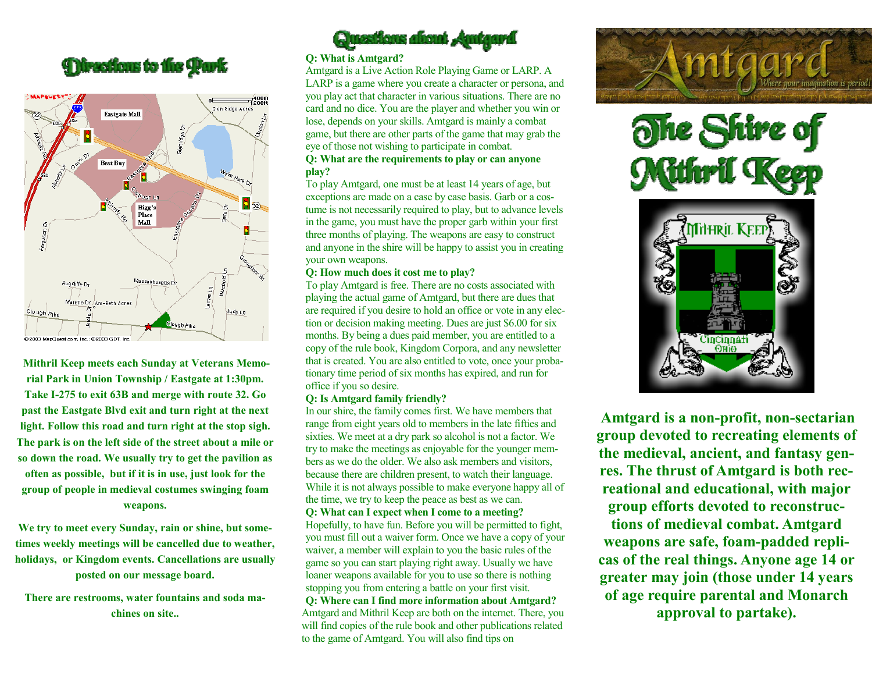



**Mithril Keep meets each Sunday at Veterans Memorial Park in Union Township / Eastgate at 1:30pm. Take I-275 to exit 63B and merge with route 32. Go past the Eastgate Blvd exit and turn right at the next light. Follow this road and turn right at the stop sigh. The park is on the left side of the street about a mile or so down the road. We usually try to get the pavilion as often as possible, but if it is in use, just look for the group of people in medieval costumes swinging foam weapons.** 

**We try to meet every Sunday, rain or shine, but sometimes weekly meetings will be cancelled due to weather, holidays, or Kingdom events. Cancellations are usually posted on our message board.** 

**There are restrooms, water fountains and soda machines on site..**



## **Q: What is Amtgard?**

Amtgard is a Live Action Role Playing Game or LARP. A LARP is a game where you create a character or persona, and you play act that character in various situations. There are no card and no dice. You are the player and whether you win or lose, depends on your skills. Amtgard is mainly a combat game, but there are other parts of the game that may grab the eye of those not wishing to participate in combat. **Q: What are the requirements to play or can anyone play?** 

To play Amtgard, one must be at least 14 years of age, but exceptions are made on a case by case basis. Garb or a costume is not necessarily required to play, but to advance levels in the game, you must have the proper garb within your first three months of playing. The weapons are easy to construct and anyone in the shire will be happy to assist you in creating your own weapons.

## **Q: How much does it cost me to play?**

To play Amtgard is free. There are no costs associated with playing the actual game of Amtgard, but there are dues that are required if you desire to hold an office or vote in any election or decision making meeting. Dues are just \$6.00 for six months. By being a dues paid member, you are entitled to a copy of the rule book, Kingdom Corpora, and any newsletter that is created. You are also entitled to vote, once your probationary time period of six months has expired, and run for office if you so desire.

## **Q: Is Amtgard family friendly?**

In our shire, the family comes first. We have members that range from eight years old to members in the late fifties and sixties. We meet at a dry park so alcohol is not a factor. We try to make the meetings as enjoyable for the younger members as we do the older. We also ask members and visitors, because there are children present, to watch their language. While it is not always possible to make everyone happy all of the time, we try to keep the peace as best as we can.

**Q: What can I expect when I come to a meeting?**  Hopefully, to have fun. Before you will be permitted to fight, you must fill out a waiver form. Once we have a copy of your waiver, a member will explain to you the basic rules of the game so you can start playing right away. Usually we have loaner weapons available for you to use so there is nothing stopping you from entering a battle on your first visit. **Q: Where can I find more information about Amtgard?**  Amtgard and Mithril Keep are both on the internet. There, you will find copies of the rule book and other publications related to the game of Amtgard. You will also find tips on







**Amtgard is a non-profit, non-sectarian group devoted to recreating elements of the medieval, ancient, and fantasy genres. The thrust of Amtgard is both recreational and educational, with major group efforts devoted to reconstructions of medieval combat. Amtgard weapons are safe, foam-padded replicas of the real things. Anyone age 14 or greater may join (those under 14 years of age require parental and Monarch approval to partake).**